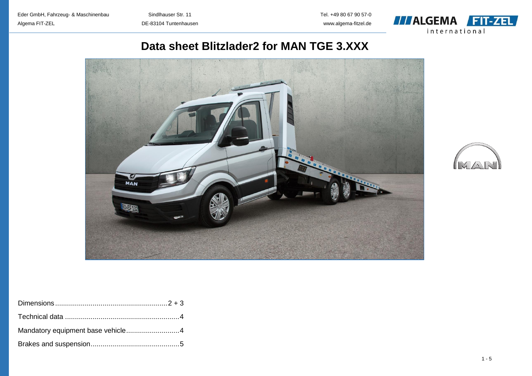

# **Data sheet Blitzlader2 for MAN TGE 3.XXX**



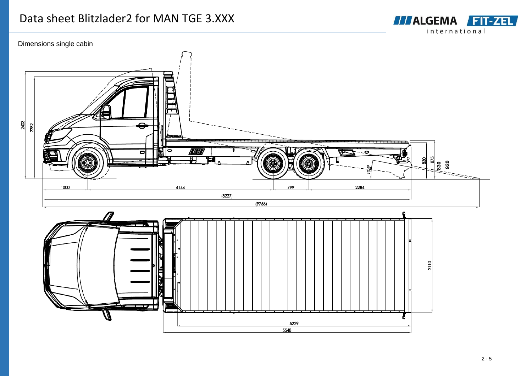# Data sheet Blitzlader2 for MAN TGE 3.XXX





**TTALGEMA FIT-ZEL** international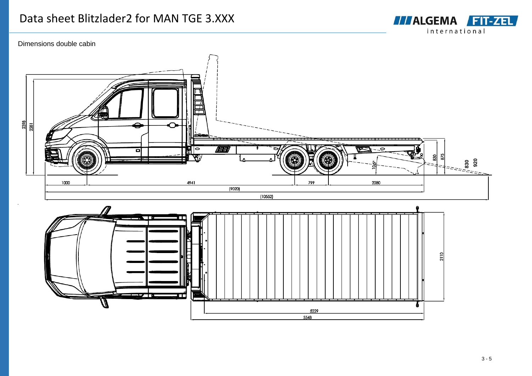

## Dimensions double cabin



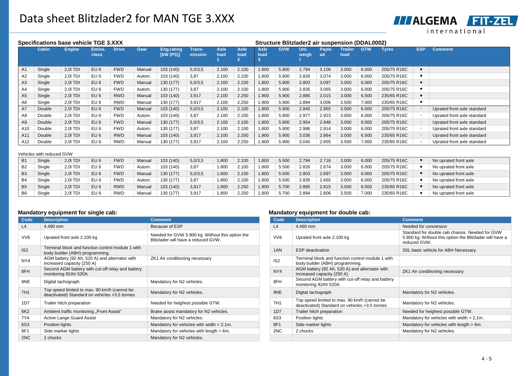**TTALGEMA FIT-ZEL** international

| Specifications base vehicle TGE 3.XXX |                           |               |                 |              |        |                                |                   | <b>Structure Blitzlader2 air suspension (DDAL0002)</b> |                     |                     |            |               |             |                        |            |             |            |                             |
|---------------------------------------|---------------------------|---------------|-----------------|--------------|--------|--------------------------------|-------------------|--------------------------------------------------------|---------------------|---------------------|------------|---------------|-------------|------------------------|------------|-------------|------------|-----------------------------|
|                                       | Cabin                     | <b>Engine</b> | Emiss.<br>class | <b>Drive</b> | Gear   | <b>Eng.rating</b><br>[KW (PS)] | Trans-<br>mission | <b>Axle</b><br>load                                    | <b>Axle</b><br>load | <b>Axle</b><br>load | <b>GVW</b> | Uni.<br>weigh | Paylo<br>ad | <b>Trailer</b><br>load | <b>GTW</b> | Tyres       | <b>ESP</b> | <b>Comment</b>              |
| A1                                    | Single                    | 2,01 TDI      | EU <sub>6</sub> | <b>FWD</b>   | Manual | 103 (140)                      | 5,0/3,5           | 2.100                                                  | 2.100               | 1.800               | 5.900      | 2.794         | 3.106       | 3.000                  | 6.000      | 205/75 R16C | $\bullet$  |                             |
| A <sub>2</sub>                        | Single                    | 2.0 TDI       | EU <sub>6</sub> | <b>FWD</b>   | Autom. | 103 (140)                      | 3,87              | 2.100                                                  | 2.100               | 1.800               | 5.900      | 2.826         | 3.074       | 3.000                  | 6.000      | 205/75 R16C | $\bullet$  |                             |
| A <sub>3</sub>                        | Single                    | 2,0 TDI       | EU6             | <b>FWD</b>   | Manual | 130 (177)                      | 5,0/3,5           | 2.100                                                  | 2.100               | 1.800               | 5.900      | 2.803         | 3.097       | 3.000                  | 6.000      | 205/75 R16C | $\bullet$  |                             |
| A4                                    | Single                    | 2,0 TDI       | EU <sub>6</sub> | <b>FWD</b>   | Autom. | 130 (177)                      | 3,87              | 2.100                                                  | 2.100               | 1.800               | 5.900      | 2.835         | 3.065       | 3.000                  | 6.000      | 205/75 R16C | $\bullet$  |                             |
| A <sub>5</sub>                        | Single                    | 2,0 TDI       | EU <sub>6</sub> | <b>RWD</b>   | Manual | 103 (140)                      | 3,917             | 2.100                                                  | 2.250               | 1.900               | 5.900      | 2.885         | 3.015       | 3.000                  | 6.500      | 235/65 R16C | $\bullet$  |                             |
| A6                                    | Single                    | 2,0 TDI       | EU 6            | <b>RWD</b>   | Manual | 130 (177)                      | 3,917             | 2.100                                                  | 2.250               | 1.900               | 5.900      | 2.894         | 3.006       | 3.500                  | 7.000      | 235/65 R16C | $\bullet$  |                             |
| A7                                    | Double                    | 2,01 TDI      | EU <sub>6</sub> | <b>FWD</b>   | Manual | 103 (140)                      | 5,0/3,5           | 2.100                                                  | 2.100               | 1.800               | 5.900      | 2.945         | 2.955       | 3.000                  | 6.000      | 205/75 R16C |            | Uprated front axle standard |
| A8                                    | Double                    | 2.0 TDI       | EU <sub>6</sub> | <b>FWD</b>   | Autom. | 103 (140)                      | 3,87              | 2.100                                                  | 2.100               | 1.800               | 5.900      | 2.977         | 2.923       | 3.000                  | 6.000      | 205/75 R16C |            | Uprated front axle standard |
| A9                                    | Double                    | 2,0 TDI       | EU <sub>6</sub> | <b>FWD</b>   | Manual | 130 (177)                      | 5,0/3,5           | 2.100                                                  | 2.100               | 1.800               | 5.900      | 2.954         | 2.946       | 3.000                  | 6.000      | 205/75 R16C |            | Uprated front axle standard |
| A10                                   | Double                    | 2,0 TDI       | EU <sub>6</sub> | <b>FWD</b>   | Autom. | 130 (177)                      | 3,87              | 2.100                                                  | 2.100               | 1.800               | 5.900      | 2.986         | 2.914       | 3.000                  | 6.000      | 205/75 R16C |            | Uprated front axle standard |
| A11                                   | Double                    | 2.0 TDI       | EU <sub>6</sub> | <b>RWD</b>   | Manual | 103 (140)                      | 3,917             | 2.100                                                  | 2.250               | 1.900               | 5.900      | 3.036         | 2.864       | 3.000                  | 6.500      | 235/65 R16C |            | Uprated front axle standard |
| A12                                   | Double                    | 2,01 TDI      | EU <sub>6</sub> | <b>RWD</b>   | Manual | 130 (177)                      | 3,917             | 2.100                                                  | 2.250               | 1.900               | 5.900      | 3.045         | 2.855       | 3.500                  | 7.000      | 235/65 R16C |            | Uprated front axle standard |
|                                       | Vehicles with reduced GVW |               |                 |              |        |                                |                   |                                                        |                     |                     |            |               |             |                        |            |             |            |                             |
| <b>B1</b>                             | Single                    | 2,0 TDI       | EU <sub>6</sub> | <b>FWD</b>   | Manual | 103 (140)                      | 5,0/3,5           | 1.800                                                  | 2.100               | 1.800               | 5.500      | 2.794         | 2.716       | 3.000                  | 6.000      | 205/75 R16C |            | No uprated front axle       |
| B <sub>2</sub>                        | Single                    | 2,01 TDI      | EU <sub>6</sub> | <b>FWD</b>   | Autom. | 103 (140)                      | 3,87              | 1.800                                                  | 2.100               | 1.800               | 5.500      | 2.826         | 2.674       | 3.000                  | 6.000      | 205/75 R16C |            | No uprated front axle       |
| B <sub>3</sub>                        | Single                    | 2,0 TDI       | EU6             | <b>FWD</b>   | Manual | 130 (177)                      | 5,0/3,5           | 1.800                                                  | 2.100               | 1.800               | 5.500      | 2.803         | 2.697       | 3.000                  | 6.000      | 205/75 R16C |            | No uprated front axle       |
| B4                                    | Single                    | 2,01 TDI      | EU <sub>6</sub> | <b>FWD</b>   | Autom. | 130 (177)                      | 3,87              | 1.800                                                  | 2.100               | 1.800               | 5.500      | 2.835         | 2.665       | 3.000                  | 6.000      | 205/75 R16C |            | No uprated front axle       |
| B <sub>5</sub>                        | Single                    | 2,0 TDI       | EU6             | <b>RWD</b>   | Manual | 103 (140)                      | 3,917             | 1.800                                                  | 2.250               | 1.900               | 5.700      | 2.885         | 2.815       | 3.000                  | 6.500      | 235/65 R16C |            | No uprated front axle       |
| B6                                    | Single                    | 2,0 TDI       | EU <sub>6</sub> | <b>RWD</b>   | Manual | 130 (177)                      | 3,917             | 1.800                                                  | 2.250               | 1.900               | 5.700      | 2.894         | 2.806       | 3.500                  | 7.000      | 235/65 R16C |            | No uprated front axle       |

### **Mandatory equipment for single cab: Mandatory equipment for double cab:**

| Code            | <b>Description</b>                                                                             | <b>Comment</b>                                                                          | Code            | <b>Description</b>                                                                            | <b>Comment</b>                                                                                         |
|-----------------|------------------------------------------------------------------------------------------------|-----------------------------------------------------------------------------------------|-----------------|-----------------------------------------------------------------------------------------------|--------------------------------------------------------------------------------------------------------|
| L4              | 4.490 mm                                                                                       | Because of ESP                                                                          | L4              | 4.490 mm                                                                                      | Needed for conversion                                                                                  |
| VV8             | Uprated front axle 2.100 kg                                                                    | Needed for GVW 5.900 kg. Without this option the<br>Blitzlader will have a reduced GVW. | VV8             | Uprated front axle 2.100 kg                                                                   | Standard for double cab chassis. Needed<br>5.900 kg. Without this option the Blitzlade<br>reduced GVW. |
| IS <sub>2</sub> | Terminal block and function control module 1 with<br>body builder (ABH) programming.           |                                                                                         | 1AN             | <b>ESP</b> deactivation                                                                       | S5L basic vehicle for ABH Necessary.                                                                   |
| NY4             | AGM battery (92 Ah, 520 A) and alternator with<br>increased capacity (250 A)                   | ZK1 Air conditioning necessary                                                          | IS <sub>2</sub> | Terminal block and function control module 1 with<br>body builder (ABH) programming.          |                                                                                                        |
| 8FH             | Second AGM battery with cut-off relay and battery<br>monitoring 92Ah 520A.                     |                                                                                         | NY4             | AGM battery (92 Ah, 520 A) and alternator with<br>increased capacity (250 A)                  | ZK1 Air conditioning necessary                                                                         |
| 9NE             | Digital tachograph                                                                             | Mandatory for N2 vehicles.                                                              | 8FH             | Second AGM battery with cut-off relay and battery<br>monitoring 92Ah 520A.                    |                                                                                                        |
| 7H1             | Top speed limited to max. 90 km/h (cannot be<br>deactivated) Standard on vehicles > 3.5 tonnes | Mandatory for N2 vehicles.                                                              | 9NE             | Digital tachograph                                                                            | Mandatory for N2 vehicles.                                                                             |
| 1D7             | Trailer hitch preparation                                                                      | Needed for heighest possible GTW.                                                       | 7H1             | Top speed limited to max. 90 km/h (cannot be<br>deactivated) Standard on vehicles >3.5 tonnes | Mandatory for N2 vehicles.                                                                             |
| 6K2             | Ambient traffic monitoring "Front Assist"                                                      | Brake assist mandatory for N2 vehicles.                                                 | 1D7             | Trailer hitch preparation                                                                     | Needed for heighest possible GTW.                                                                      |
| 7Y4             | Active Lange Guard Assist                                                                      | Mandatory for N2 vehicles.                                                              | 6S3             | Position lights                                                                               | Mandatory for vehicles with width > 2,1m.                                                              |
| <b>6S3</b>      | Position lights                                                                                | Mandatory for vehicles with width $> 2,1$ m.                                            | 8F1             | Side marker lights                                                                            | Mandatory for vehicles with length > 6m.                                                               |
| 8F1             | Side marker lights                                                                             | Mandatory for vehicles with length > 6m.                                                | 2NC             | 2 chocks                                                                                      | Mandatory for N2 vehicles.                                                                             |
| 2NC             | 2 chocks                                                                                       | Mandatory for N2 vehicles.                                                              |                 |                                                                                               |                                                                                                        |

| <b>Comment</b>                                                                          | Code            | <b>Description</b>                                                                             | <b>Comment</b>                                                                                                              |  |
|-----------------------------------------------------------------------------------------|-----------------|------------------------------------------------------------------------------------------------|-----------------------------------------------------------------------------------------------------------------------------|--|
| Because of ESP                                                                          | L4              | 4.490 mm                                                                                       | Needed for conversion                                                                                                       |  |
| Needed for GVW 5.900 kg. Without this option the<br>Blitzlader will have a reduced GVW. | VV8             | Uprated front axle 2.100 kg                                                                    | Standard for double cab chassis. Needed for GVW<br>5.900 kg. Without this option the Blitzlader will have a<br>reduced GVW. |  |
|                                                                                         | 1AN             | <b>ESP</b> deactivation                                                                        | S5L basic vehicle for ABH Necessary.                                                                                        |  |
| ZK1 Air conditioning necessary                                                          | IS <sub>2</sub> | Terminal block and function control module 1 with<br>body builder (ABH) programming.           |                                                                                                                             |  |
|                                                                                         | NY4             | AGM battery (92 Ah, 520 A) and alternator with<br>increased capacity (250 A)                   | ZK1 Air conditioning necessary                                                                                              |  |
| Mandatory for N2 vehicles.                                                              | 8FH             | Second AGM battery with cut-off relay and battery<br>monitoring 92Ah 520A.                     |                                                                                                                             |  |
| Mandatory for N2 vehicles.                                                              | 9NE             | Digital tachograph                                                                             | Mandatory for N2 vehicles.                                                                                                  |  |
| Needed for heighest possible GTW.                                                       | 7H1             | Top speed limited to max. 90 km/h (cannot be<br>deactivated) Standard on vehicles > 3.5 tonnes | Mandatory for N2 vehicles.                                                                                                  |  |
| Brake assist mandatory for N2 vehicles.                                                 | 1D7             | Trailer hitch preparation                                                                      | Needed for heighest possible GTW.                                                                                           |  |
| Mandatory for N2 vehicles.                                                              | 6S3             | Position lights                                                                                | Mandatory for vehicles with width $> 2.1$ m.                                                                                |  |
| Mandatory for vehicles with width > 2,1m.                                               | 8F1             | Side marker lights                                                                             | Mandatory for vehicles with length > 6m.                                                                                    |  |
| Mandatory for vehicles with length > 6m.                                                | 2NC             | 2 chocks                                                                                       | Mandatory for N2 vehicles.                                                                                                  |  |
| Mandatory for N2 vehicles.                                                              |                 |                                                                                                |                                                                                                                             |  |